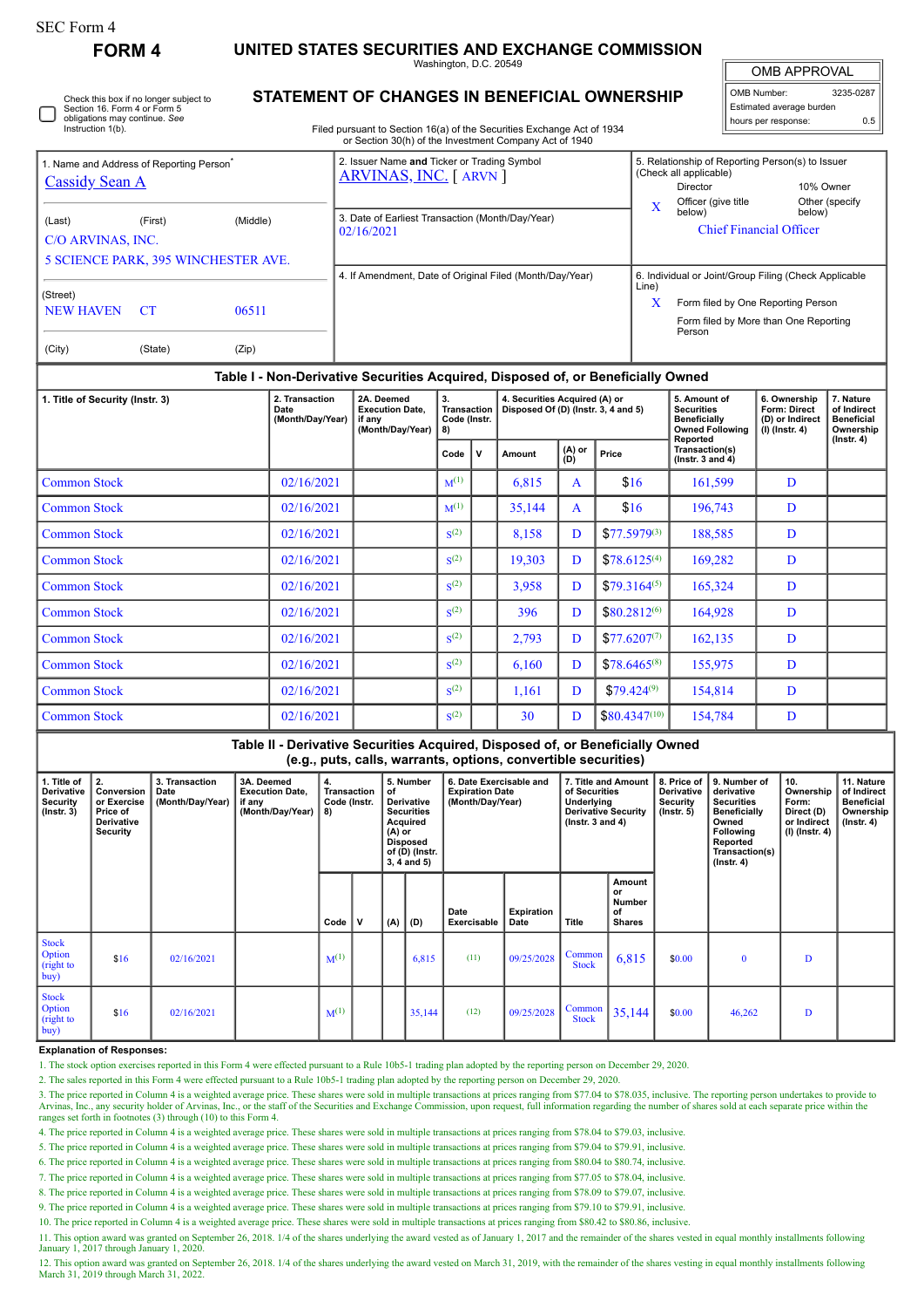| r orm |  |
|-------|--|
|-------|--|

**FORM 4 UNITED STATES SECURITIES AND EXCHANGE COMMISSION**

Washington, D.C. 20549

| <b>OMB APPROVAL</b>      |           |  |  |  |  |  |  |  |  |  |
|--------------------------|-----------|--|--|--|--|--|--|--|--|--|
| OMB Number:              | 3235-0287 |  |  |  |  |  |  |  |  |  |
| Estimated average burden |           |  |  |  |  |  |  |  |  |  |
| hours per response:      | 0.5       |  |  |  |  |  |  |  |  |  |

Check this box if no longer subject to Section 16. Form 4 or Form 5 obligations may continue. *See* Instruction 1(b)

# **STATEMENT OF CHANGES IN BENEFICIAL OWNERSHIP**

Filed pursuant to Section 16(a) of the Securities Exchange Act of 1934 or Section 30(h) of the Investment Company Act of 1940

| I. Name and Address of Reporting Person <sup>®</sup><br><b>Cassidy Sean A</b> |                                                                   |  | 2. Issuer Name and Ticker or Trading Symbol<br>ARVINAS, INC. [ ARVN ] | 5. Relationship of Reporting Person(s) to Issuer<br>(Check all applicable)<br>10% Owner<br><b>Director</b>                                                   |                                                                 |                          |  |  |
|-------------------------------------------------------------------------------|-------------------------------------------------------------------|--|-----------------------------------------------------------------------|--------------------------------------------------------------------------------------------------------------------------------------------------------------|-----------------------------------------------------------------|--------------------------|--|--|
| (Last)<br>C/O ARVINAS, INC.                                                   | (Middle)<br>(First)<br><b>5 SCIENCE PARK, 395 WINCHESTER AVE.</b> |  | 3. Date of Earliest Transaction (Month/Day/Year)<br>02/16/2021        | X                                                                                                                                                            | Officer (give title<br>below)<br><b>Chief Financial Officer</b> | Other (specify<br>below) |  |  |
| (Street)<br>06511<br><b>NEW HAVEN</b><br>-CT<br>(City)<br>(Zip)<br>(State)    |                                                                   |  | 4. If Amendment, Date of Original Filed (Month/Day/Year)              | 6. Individual or Joint/Group Filing (Check Applicable<br>Line)<br>X<br>Form filed by One Reporting Person<br>Form filed by More than One Reporting<br>Person |                                                                 |                          |  |  |

## **Table I - Non-Derivative Securities Acquired, Disposed of, or Beneficially Owned**

| 1. Title of Security (Instr. 3) | 2. Transaction<br>Date<br>(Month/Day/Year) | 2A. Deemed<br><b>Execution Date.</b><br>if any<br>(Month/Day/Year) | 3.<br><b>Transaction</b><br>Code (Instr.<br>8) |  | 4. Securities Acquired (A) or<br>Disposed Of (D) (Instr. 3, 4 and 5) |                          |                   | 5. Amount of<br><b>Securities</b><br><b>Beneficially</b><br><b>Owned Following</b><br>Reported | 6. Ownership<br>Form: Direct<br>(D) or Indirect<br>$(I)$ (lnstr. 4) | 7. Nature<br>of Indirect<br><b>Beneficial</b><br>Ownership<br>$($ Instr. 4 $)$ |
|---------------------------------|--------------------------------------------|--------------------------------------------------------------------|------------------------------------------------|--|----------------------------------------------------------------------|--------------------------|-------------------|------------------------------------------------------------------------------------------------|---------------------------------------------------------------------|--------------------------------------------------------------------------------|
|                                 |                                            |                                                                    | Code<br>v                                      |  | Amount                                                               | $(A)$ or<br>Price<br>(D) |                   | Transaction(s)<br>( $lnstr. 3 and 4$ )                                                         |                                                                     |                                                                                |
| <b>Common Stock</b>             | 02/16/2021                                 |                                                                    | $M^{(1)}$                                      |  | 6,815                                                                | A                        | \$16              | 161,599                                                                                        | D                                                                   |                                                                                |
| <b>Common Stock</b>             | 02/16/2021                                 |                                                                    | $M^{(1)}$                                      |  | 35,144                                                               | $\mathbf{A}$             | \$16              | 196,743                                                                                        | D                                                                   |                                                                                |
| <b>Common Stock</b>             | 02/16/2021                                 |                                                                    | S <sup>(2)</sup>                               |  | 8,158                                                                | D                        | $$77.5979^{(3)}$  | 188,585                                                                                        | D                                                                   |                                                                                |
| <b>Common Stock</b>             | 02/16/2021                                 |                                                                    | S <sub>2</sub> (2)                             |  | 19,303                                                               | D                        | $$78.6125^{(4)}$  | 169,282                                                                                        | D                                                                   |                                                                                |
| <b>Common Stock</b>             | 02/16/2021                                 |                                                                    | S <sup>(2)</sup>                               |  | 3,958                                                                | D                        | $$79.3164^{(5)}$  | 165,324                                                                                        | D                                                                   |                                                                                |
| <b>Common Stock</b>             | 02/16/2021                                 |                                                                    | S <sup>(2)</sup>                               |  | 396                                                                  | D                        | $$80.2812^{(6)}$  | 164,928                                                                                        | D                                                                   |                                                                                |
| <b>Common Stock</b>             | 02/16/2021                                 |                                                                    | S <sup>(2)</sup>                               |  | 2,793                                                                | D                        | $$77.6207^{(7)}$  | 162,135                                                                                        | D                                                                   |                                                                                |
| <b>Common Stock</b>             | 02/16/2021                                 |                                                                    | S <sup>(2)</sup>                               |  | 6,160                                                                | D                        | $$78.6465^{(8)}$  | 155,975                                                                                        | D                                                                   |                                                                                |
| <b>Common Stock</b>             | 02/16/2021                                 |                                                                    | S <sup>(2)</sup>                               |  | 1,161                                                                | D                        | $$79,424^{(9)}$   | 154,814                                                                                        | D                                                                   |                                                                                |
| <b>Common Stock</b>             | 02/16/2021                                 |                                                                    | S <sup>(2)</sup>                               |  | 30                                                                   | D                        | $$80.4347^{(10)}$ | 154,784                                                                                        | D                                                                   |                                                                                |

### **Table II - Derivative Securities Acquired, Disposed of, or Beneficially Owned (e.g., puts, calls, warrants, options, convertible securities)**

| 1. Title of<br>Derivative<br><b>Security</b><br>$($ Instr. 3 $)$ | 2.<br>Conversion<br>or Exercise<br>Price of<br><b>Derivative</b><br><b>Security</b> | 3. Transaction<br>Date<br>(Month/Day/Year) | 3A. Deemed<br><b>Execution Date,</b><br>if any<br>(Month/Day/Year) | 4.<br>Transaction<br>Code (Instr.<br>8) |   | 5. Number<br>of<br><b>Derivative</b><br><b>Securities</b><br>Acquired<br>$(A)$ or<br><b>Disposed</b><br>of (D) (Instr.<br>$3, 4$ and $5)$ |        | 6. Date Exercisable and<br><b>Expiration Date</b><br>(Month/Day/Year) |                           | 7. Title and Amount<br>of Securities<br>Underlying<br><b>Derivative Security</b><br>$($ lnstr. 3 and 4 $)$ |                                               | 8. Price of<br><b>Derivative</b><br>Security<br>$($ lnstr. 5 $)$ | 9. Number of<br>derivative<br><b>Securities</b><br><b>Beneficially</b><br>Owned<br><b>Following</b><br>Reported<br>Transaction(s)<br>$($ Instr. 4 $)$ | 10.<br>Ownership<br>Form:<br>Direct (D)<br>or Indirect<br>(I) (Instr. 4) | 11. Nature<br>of Indirect<br><b>Beneficial</b><br>Ownership<br>$($ lnstr. 4 $)$ |
|------------------------------------------------------------------|-------------------------------------------------------------------------------------|--------------------------------------------|--------------------------------------------------------------------|-----------------------------------------|---|-------------------------------------------------------------------------------------------------------------------------------------------|--------|-----------------------------------------------------------------------|---------------------------|------------------------------------------------------------------------------------------------------------|-----------------------------------------------|------------------------------------------------------------------|-------------------------------------------------------------------------------------------------------------------------------------------------------|--------------------------------------------------------------------------|---------------------------------------------------------------------------------|
|                                                                  |                                                                                     |                                            |                                                                    | Code                                    | v | (A)                                                                                                                                       | (D)    | Date<br>Exercisable                                                   | <b>Expiration</b><br>Date | Title                                                                                                      | Amount<br>or<br>Number<br>of<br><b>Shares</b> |                                                                  |                                                                                                                                                       |                                                                          |                                                                                 |
| <b>Stock</b><br>Option<br>(right to<br>buy)                      | \$16                                                                                | 02/16/2021                                 |                                                                    | $M^{(1)}$                               |   |                                                                                                                                           | 6,815  | (11)                                                                  | 09/25/2028                | Common<br><b>Stock</b>                                                                                     | 6,815                                         | \$0.00                                                           | $\mathbf{0}$                                                                                                                                          | D                                                                        |                                                                                 |
| <b>Stock</b><br>Option<br>(right to<br>buy)                      | \$16                                                                                | 02/16/2021                                 |                                                                    | $M^{(1)}$                               |   |                                                                                                                                           | 35,144 | (12)                                                                  | 09/25/2028                | Common<br><b>Stock</b>                                                                                     | 35,144                                        | \$0.00                                                           | 46,262                                                                                                                                                | D                                                                        |                                                                                 |

#### **Explanation of Responses:**

1. The stock option exercises reported in this Form 4 were effected pursuant to a Rule 10b5-1 trading plan adopted by the reporting person on December 29, 2020.

2. The sales reported in this Form 4 were effected pursuant to a Rule 10b5-1 trading plan adopted by the reporting person on December 29, 2020.

3. The price reported in Column 4 is a weighted average price. These shares were sold in multiple transactions at prices ranging from \$77.04 to \$78.035, inclusive. The reporting person undertakes to provide to Arvinas, Inc., any security holder of Arvinas, Inc., or the staff of the Securities and Exchange Commission, upon request, full information regarding the number of shares sold at each separate price within the ranges set f

4. The price reported in Column 4 is a weighted average price. These shares were sold in multiple transactions at prices ranging from \$78.04 to \$79.03, inclusive.

5. The price reported in Column 4 is a weighted average price. These shares were sold in multiple transactions at prices ranging from \$79.04 to \$79.91, inclusive.

6. The price reported in Column 4 is a weighted average price. These shares were sold in multiple transactions at prices ranging from \$80.04 to \$80.74, inclusive.

7. The price reported in Column 4 is a weighted average price. These shares were sold in multiple transactions at prices ranging from \$77.05 to \$78.04, inclusive.

8. The price reported in Column 4 is a weighted average price. These shares were sold in multiple transactions at prices ranging from \$78.09 to \$79.07, inclusive.

9. The price reported in Column 4 is a weighted average price. These shares were sold in multiple transactions at prices ranging from \$79.10 to \$79.91, inclusive.

10. The price reported in Column 4 is a weighted average price. These shares were sold in multiple transactions at prices ranging from \$80.42 to \$80.86, inclusive.

11. This option award was granted on September 26, 2018. 1/4 of the shares underlying the award vested as of January 1, 2017 and the remainder of the shares vested in equal monthly installments following January 1, 2017 through January 1, 2020.

12. This option award was granted on September 26, 2018. 1/4 of the shares underlying the award vested on March 31, 2019, with the remainder of the shares vesting in equal monthly installments following March 31, 2019 thro